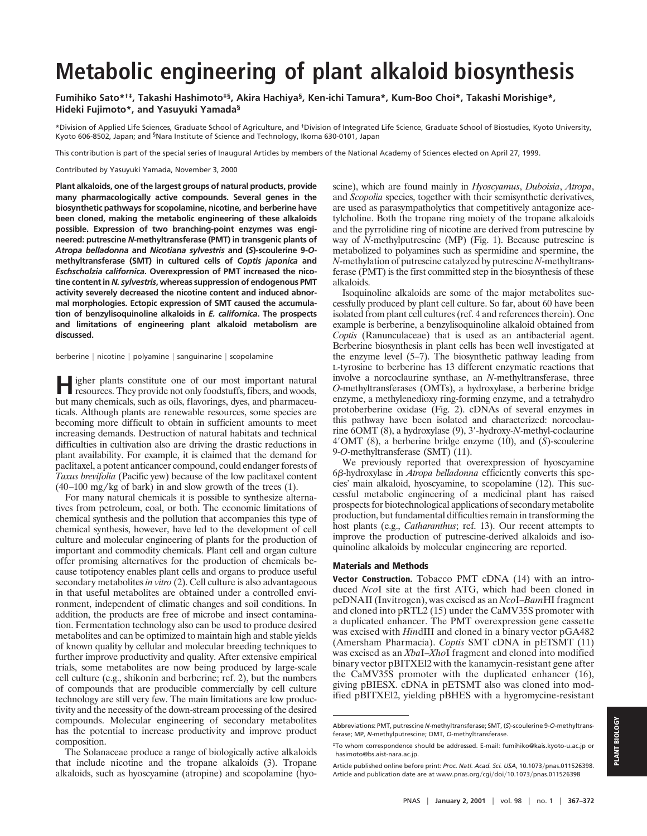## **Metabolic engineering of plant alkaloid biosynthesis**

**Fumihiko Sato\*†‡, Takashi Hashimoto‡§, Akira Hachiya§, Ken-ichi Tamura\*, Kum-Boo Choi\*, Takashi Morishige\*, Hideki Fujimoto\*, and Yasuyuki Yamada§**

\*Division of Applied Life Sciences, Graduate School of Agriculture, and †Division of Integrated Life Science, Graduate School of Biostudies, Kyoto University, Kyoto 606-8502, Japan; and §Nara Institute of Science and Technology, Ikoma 630-0101, Japan

This contribution is part of the special series of Inaugural Articles by members of the National Academy of Sciences elected on April 27, 1999.

## Contributed by Yasuyuki Yamada, November 3, 2000

**Plant alkaloids, one of the largest groups of natural products, provide many pharmacologically active compounds. Several genes in the biosynthetic pathways for scopolamine, nicotine, and berberine have been cloned, making the metabolic engineering of these alkaloids possible. Expression of two branching-point enzymes was engineered: putrescine** *N***-methyltransferase (PMT) in transgenic plants of** *Atropa belladonna* **and** *Nicotiana sylvestris* **and (***S***)-scoulerine 9-***O***methyltransferase (SMT) in cultured cells of** *Coptis japonica* **and** *Eschscholzia californica***. Overexpression of PMT increased the nicotine content in** *N. sylvestris***, whereas suppression of endogenous PMT activity severely decreased the nicotine content and induced abnormal morphologies. Ectopic expression of SMT caused the accumulation of benzylisoquinoline alkaloids in** *E. californica***. The prospects and limitations of engineering plant alkaloid metabolism are discussed.**

berberine | nicotine | polyamine | sanguinarine | scopolamine

**H**igher plants constitute one of our most important natural resources. They provide not only foodstuffs, fibers, and woods, but many chemicals, such as oils, flavorings, dyes, and pharmaceuticals. Although plants are renewable resources, some species are becoming more difficult to obtain in sufficient amounts to meet increasing demands. Destruction of natural habitats and technical difficulties in cultivation also are driving the drastic reductions in plant availability. For example, it is claimed that the demand for paclitaxel, a potent anticancer compound, could endanger forests of *Taxus brevifolia* (Pacific yew) because of the low paclitaxel content  $(40-100 \text{ mg/kg of}$  of bark) in and slow growth of the trees (1).

For many natural chemicals it is possible to synthesize alternatives from petroleum, coal, or both. The economic limitations of chemical synthesis and the pollution that accompanies this type of chemical synthesis, however, have led to the development of cell culture and molecular engineering of plants for the production of important and commodity chemicals. Plant cell and organ culture offer promising alternatives for the production of chemicals because totipotency enables plant cells and organs to produce useful secondary metabolites *in vitro* (2). Cell culture is also advantageous in that useful metabolites are obtained under a controlled environment, independent of climatic changes and soil conditions. In addition, the products are free of microbe and insect contamination. Fermentation technology also can be used to produce desired metabolites and can be optimized to maintain high and stable yields of known quality by cellular and molecular breeding techniques to further improve productivity and quality. After extensive empirical trials, some metabolites are now being produced by large-scale cell culture (e.g., shikonin and berberine; ref. 2), but the numbers of compounds that are producible commercially by cell culture technology are still very few. The main limitations are low productivity and the necessity of the down-stream processing of the desired compounds. Molecular engineering of secondary metabolites has the potential to increase productivity and improve product composition.

The Solanaceae produce a range of biologically active alkaloids that include nicotine and the tropane alkaloids (3). Tropane alkaloids, such as hyoscyamine (atropine) and scopolamine (hyoscine), which are found mainly in *Hyoscyamus*, *Duboisia*, *Atropa*, and *Scopolia* species, together with their semisynthetic derivatives, are used as parasympatholytics that competitively antagonize acetylcholine. Both the tropane ring moiety of the tropane alkaloids and the pyrrolidine ring of nicotine are derived from putrescine by way of *N*-methylputrescine (MP) (Fig. 1). Because putrescine is metabolized to polyamines such as spermidine and spermine, the *N*-methylation of putrescine catalyzed by putrescine *N*-methyltransferase (PMT) is the first committed step in the biosynthesis of these alkaloids.

Isoquinoline alkaloids are some of the major metabolites successfully produced by plant cell culture. So far, about 60 have been isolated from plant cell cultures (ref. 4 and references therein). One example is berberine, a benzylisoquinoline alkaloid obtained from *Coptis* (Ranunculaceae) that is used as an antibacterial agent. Berberine biosynthesis in plant cells has been well investigated at the enzyme level (5–7). The biosynthetic pathway leading from L-tyrosine to berberine has 13 different enzymatic reactions that involve a norcoclaurine synthase, an *N*-methyltransferase, three *O*-methyltransferases (OMTs), a hydroxylase, a berberine bridge enzyme, a methylenedioxy ring-forming enzyme, and a tetrahydro protoberberine oxidase (Fig. 2). cDNAs of several enzymes in this pathway have been isolated and characterized: norcoclaurine 6OMT (8), a hydroxylase (9), 3'-hydroxy-*N*-methyl-coclaurine 49OMT (8), a berberine bridge enzyme (10), and (*S*)-scoulerine 9-*O*-methyltransferase (SMT) (11).

We previously reported that overexpression of hyoscyamine 6b-hydroxylase in *Atropa belladonna* efficiently converts this species' main alkaloid, hyoscyamine, to scopolamine (12). This successful metabolic engineering of a medicinal plant has raised prospects for biotechnological applications of secondary metabolite production, but fundamental difficulties remain in transforming the host plants (e.g., *Catharanthus*; ref. 13). Our recent attempts to improve the production of putrescine-derived alkaloids and isoquinoline alkaloids by molecular engineering are reported.

## **Materials and Methods**

**Vector Construction.** Tobacco PMT cDNA (14) with an introduced *Nco*I site at the first ATG, which had been cloned in pcDNAII (Invitrogen), was excised as an *Nco*I–*Bam*HI fragment and cloned into pRTL2 (15) under the CaMV35S promoter with a duplicated enhancer. The PMT overexpression gene cassette was excised with *Hin*dIII and cloned in a binary vector pGA482 (Amersham Pharmacia). *Coptis* SMT cDNA in pETSMT (11) was excised as an *Xba*I–*Xho*I fragment and cloned into modified binary vector pBITXEl2 with the kanamycin-resistant gene after the CaMV35S promoter with the duplicated enhancer (16), giving pBIESX. cDNA in pETSMT also was cloned into modified pBITXEl2, yielding pBHES with a hygromycine-resistant

Abbreviations: PMT, putrescine *N*-methyltransferase; SMT, (*S*)-scoulerine 9-*O*-methyltransferase; MP, *N*-methylputrescine; OMT, *O*-methyltransferase.

<sup>‡</sup>To whom correspondence should be addressed. E-mail: fumihiko@kais.kyoto-u.ac.jp or hasimoto@bs.aist-nara.ac.jp.

Article published online before print: Proc. Natl. Acad. Sci. USA, 10.1073/pnas.011526398. Article and publication date are at www.pnas.org/cgi/doi/10.1073/pnas.011526398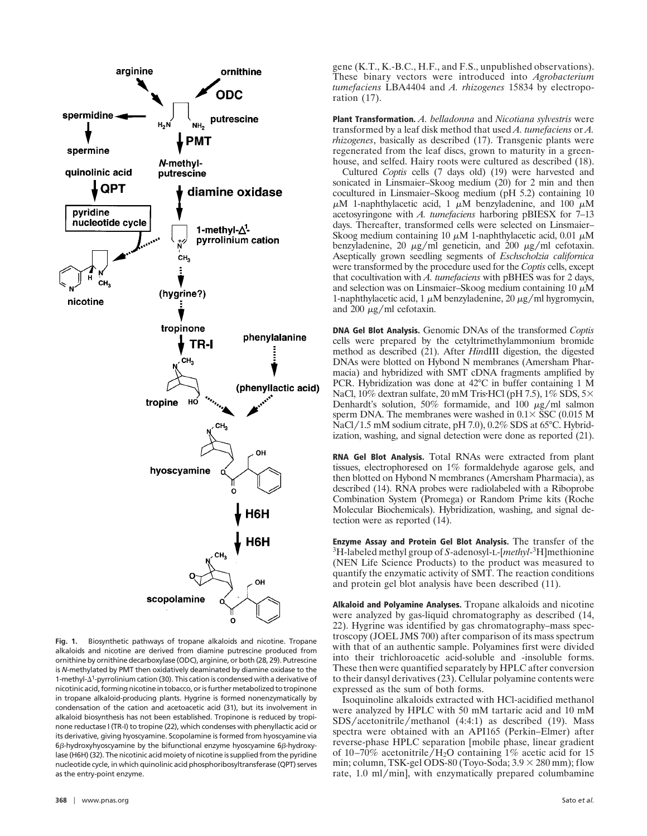

**Fig. 1.** Biosynthetic pathways of tropane alkaloids and nicotine. Tropane alkaloids and nicotine are derived from diamine putrescine produced from ornithine by ornithine decarboxylase (ODC), arginine, or both (28, 29). Putrescine is *N*-methylated by PMT then oxidatively deaminated by diamine oxidase to the 1-methyl- $\Delta^1$ -pyrrolinium cation (30). This cation is condensed with a derivative of nicotinic acid, forming nicotine in tobacco, or is further metabolized to tropinone in tropane alkaloid-producing plants. Hygrine is formed nonenzymatically by condensation of the cation and acetoacetic acid (31), but its involvement in alkaloid biosynthesis has not been established. Tropinone is reduced by tropinone reductase I (TR-I) to tropine (22), which condenses with phenyllactic acid or its derivative, giving hyoscyamine. Scopolamine is formed from hyoscyamine via  $6\beta$ -hydroxyhyoscyamine by the bifunctional enzyme hyoscyamine  $6\beta$ -hydroxylase (H6H) (32). The nicotinic acid moiety of nicotine is supplied from the pyridine nucleotide cycle, in which quinolinic acid phosphoribosyltransferase (QPT) serves as the entry-point enzyme.

gene (K.T., K.-B.C., H.F., and F.S., unpublished observations). These binary vectors were introduced into *Agrobacterium tumefaciens* LBA4404 and *A. rhizogenes* 15834 by electroporation (17).

**Plant Transformation.** *A. belladonna* and *Nicotiana sylvestris* were transformed by a leaf disk method that used *A. tumefaciens* or *A. rhizogenes*, basically as described (17). Transgenic plants were regenerated from the leaf discs, grown to maturity in a greenhouse, and selfed. Hairy roots were cultured as described (18).

Cultured *Coptis* cells (7 days old) (19) were harvested and sonicated in Linsmaier–Skoog medium (20) for 2 min and then cocultured in Linsmaier–Skoog medium (pH 5.2) containing 10  $\mu$ M 1-naphthylacetic acid, 1  $\mu$ M benzyladenine, and 100  $\mu$ M acetosyringone with *A. tumefaciens* harboring pBIESX for 7–13 days. Thereafter, transformed cells were selected on Linsmaier– Skoog medium containing 10  $\mu$ M 1-naphthylacetic acid, 0.01  $\mu$ M benzyladenine, 20  $\mu$ g/ml geneticin, and 200  $\mu$ g/ml cefotaxin. Aseptically grown seedling segments of *Eschscholzia californica* were transformed by the procedure used for the *Coptis* cells, except that cocultivation with *A. tumefaciens* with pBHES was for 2 days, and selection was on Linsmaier–Skoog medium containing  $10 \mu$ M 1-naphthylacetic acid, 1  $\mu$ M benzyladenine, 20  $\mu$ g/ml hygromycin, and 200  $\mu$ g/ml cefotaxin.

**DNA Gel Blot Analysis.** Genomic DNAs of the transformed *Coptis* cells were prepared by the cetyltrimethylammonium bromide method as described (21). After *Hin*dIII digestion, the digested DNAs were blotted on Hybond N membranes (Amersham Pharmacia) and hybridized with SMT cDNA fragments amplified by PCR. Hybridization was done at 42°C in buffer containing 1 M NaCl,  $10\%$  dextran sulfate, 20 mM Tris HCl (pH 7.5),  $1\%$  SDS,  $5\times$ Denhardt's solution, 50% formamide, and 100  $\mu$ g/ml salmon sperm DNA. The membranes were washed in  $0.1 \times$  SSC (0.015 M  $\text{NaCl}/1.5 \text{ mM}$  sodium citrate, pH 7.0), 0.2% SDS at 65°C. Hybridization, washing, and signal detection were done as reported (21).

**RNA Gel Blot Analysis.** Total RNAs were extracted from plant tissues, electrophoresed on 1% formaldehyde agarose gels, and then blotted on Hybond N membranes (Amersham Pharmacia), as described (14). RNA probes were radiolabeled with a Riboprobe Combination System (Promega) or Random Prime kits (Roche Molecular Biochemicals). Hybridization, washing, and signal detection were as reported (14).

**Enzyme Assay and Protein Gel Blot Analysis.** The transfer of the 3H-labeled methyl group of *<sup>S</sup>*-adenosyl-L-[*methyl*-3H]methionine (NEN Life Science Products) to the product was measured to quantify the enzymatic activity of SMT. The reaction conditions and protein gel blot analysis have been described (11).

**Alkaloid and Polyamine Analyses.** Tropane alkaloids and nicotine were analyzed by gas-liquid chromatography as described (14, 22). Hygrine was identified by gas chromatography–mass spectroscopy (JOEL JMS 700) after comparison of its mass spectrum with that of an authentic sample. Polyamines first were divided into their trichloroacetic acid-soluble and -insoluble forms. These then were quantified separately by HPLC after conversion to their dansyl derivatives (23). Cellular polyamine contents were expressed as the sum of both forms.

Isoquinoline alkaloids extracted with HCl-acidified methanol were analyzed by HPLC with 50 mM tartaric acid and 10 mM SDS/acetonitrile/methanol (4:4:1) as described (19). Mass spectra were obtained with an API165 (Perkin–Elmer) after reverse-phase HPLC separation [mobile phase, linear gradient of 10–70% acetonitrile/H<sub>2</sub>O containing 1% acetic acid for 15 min; column, TSK-gel ODS-80 (Toyo-Soda;  $3.9 \times 280$  mm); flow rate, 1.0 ml/min], with enzymatically prepared columbamine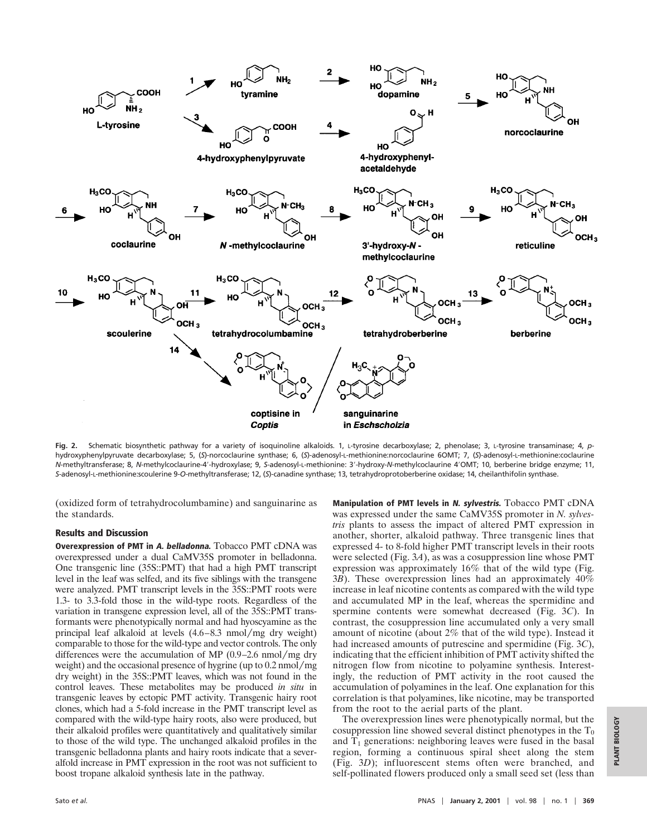

**Fig. 2.** Schematic biosynthetic pathway for a variety of isoquinoline alkaloids. 1, L-tyrosine decarboxylase; 2, phenolase; 3, L-tyrosine transaminase; 4, *p*hydroxyphenylpyruvate decarboxylase; 5, (*S*)-norcoclaurine synthase; 6, (*S*)-adenosyl-L-methionine:norcoclaurine 6OMT; 7, (*S*)-adenosyl-L-methionine:coclaurine *N*-methyltransferase; 8, *N-methylcoclaurine-4'-hydroxylase*; 9, *S-adenosyl-L-methionine: 3'-hydroxy-N-methylcoclaurine 4'OMT*; 10, berberine bridge enzyme; 11, *S*-adenosyl-L-methionine:scoulerine 9-*O*-methyltransferase; 12, (*S*)-canadine synthase; 13, tetrahydroprotoberberine oxidase; 14, cheilanthifolin synthase.

(oxidized form of tetrahydrocolumbamine) and sanguinarine as the standards.

## **Results and Discussion**

**Overexpression of PMT in A. belladonna.** Tobacco PMT cDNA was overexpressed under a dual CaMV35S promoter in belladonna. One transgenic line (35S::PMT) that had a high PMT transcript level in the leaf was selfed, and its five siblings with the transgene were analyzed. PMT transcript levels in the 35S::PMT roots were 1.3- to 3.3-fold those in the wild-type roots. Regardless of the variation in transgene expression level, all of the 35S::PMT transformants were phenotypically normal and had hyoscyamine as the principal leaf alkaloid at levels  $(4.6-8.3 \text{ mmol/mg} \text{ dry weight})$ comparable to those for the wild-type and vector controls. The only differences were the accumulation of MP  $(0.9-2.6 \text{ nmol/mg} \text{ dry})$ weight) and the occasional presence of hygrine (up to 0.2 nmol/mg dry weight) in the 35S::PMT leaves, which was not found in the control leaves. These metabolites may be produced *in situ* in transgenic leaves by ectopic PMT activity. Transgenic hairy root clones, which had a 5-fold increase in the PMT transcript level as compared with the wild-type hairy roots, also were produced, but their alkaloid profiles were quantitatively and qualitatively similar to those of the wild type. The unchanged alkaloid profiles in the transgenic belladonna plants and hairy roots indicate that a severalfold increase in PMT expression in the root was not sufficient to boost tropane alkaloid synthesis late in the pathway.

**Manipulation of PMT levels in N. sylvestris.** Tobacco PMT cDNA was expressed under the same CaMV35S promoter in *N. sylvestris* plants to assess the impact of altered PMT expression in another, shorter, alkaloid pathway. Three transgenic lines that expressed 4- to 8-fold higher PMT transcript levels in their roots were selected (Fig. 3*A*), as was a cosuppression line whose PMT expression was approximately 16% that of the wild type (Fig. 3*B*). These overexpression lines had an approximately 40% increase in leaf nicotine contents as compared with the wild type and accumulated MP in the leaf, whereas the spermidine and spermine contents were somewhat decreased (Fig. 3*C*). In contrast, the cosuppression line accumulated only a very small amount of nicotine (about 2% that of the wild type). Instead it had increased amounts of putrescine and spermidine (Fig. 3*C*), indicating that the efficient inhibition of PMT activity shifted the nitrogen flow from nicotine to polyamine synthesis. Interestingly, the reduction of PMT activity in the root caused the accumulation of polyamines in the leaf. One explanation for this correlation is that polyamines, like nicotine, may be transported from the root to the aerial parts of the plant.

The overexpression lines were phenotypically normal, but the cosuppression line showed several distinct phenotypes in the  $T_0$ and  $T_1$  generations: neighboring leaves were fused in the basal region, forming a continuous spiral sheet along the stem (Fig. 3*D*); influorescent stems often were branched, and self-pollinated flowers produced only a small seed set (less than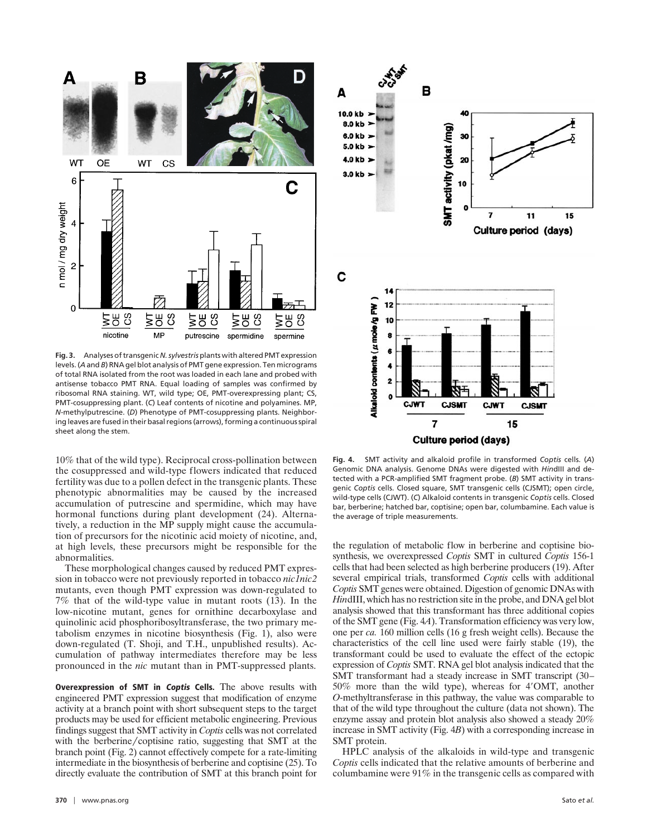

**Fig. 3.** Analyses of transgenic *N. sylvestris* plants with altered PMT expression levels. (*A* and *B*) RNA gel blot analysis of PMT gene expression. Ten micrograms of total RNA isolated from the root was loaded in each lane and probed with antisense tobacco PMT RNA. Equal loading of samples was confirmed by ribosomal RNA staining. WT, wild type; OE, PMT-overexpressing plant; CS, PMT-cosuppressing plant. (*C*) Leaf contents of nicotine and polyamines. MP, *N*-methylputrescine. (*D*) Phenotype of PMT-cosuppressing plants. Neighboring leaves are fused in their basal regions (arrows), forming a continuous spiral sheet along the stem.

10% that of the wild type). Reciprocal cross-pollination between the cosuppressed and wild-type flowers indicated that reduced fertility was due to a pollen defect in the transgenic plants. These phenotypic abnormalities may be caused by the increased accumulation of putrescine and spermidine, which may have hormonal functions during plant development (24). Alternatively, a reduction in the MP supply might cause the accumulation of precursors for the nicotinic acid moiety of nicotine, and, at high levels, these precursors might be responsible for the abnormalities.

These morphological changes caused by reduced PMT expression in tobacco were not previously reported in tobacco *nic1nic2* mutants, even though PMT expression was down-regulated to 7% that of the wild-type value in mutant roots (13). In the low-nicotine mutant, genes for ornithine decarboxylase and quinolinic acid phosphoribosyltransferase, the two primary metabolism enzymes in nicotine biosynthesis (Fig. 1), also were down-regulated (T. Shoji, and T.H., unpublished results). Accumulation of pathway intermediates therefore may be less pronounced in the *nic* mutant than in PMT-suppressed plants.

**Overexpression of SMT in Coptis Cells.** The above results with engineered PMT expression suggest that modification of enzyme activity at a branch point with short subsequent steps to the target products may be used for efficient metabolic engineering. Previous findings suggest that SMT activity in *Coptis* cells was not correlated with the berberine/coptisine ratio, suggesting that SMT at the branch point (Fig. 2) cannot effectively compete for a rate-limiting intermediate in the biosynthesis of berberine and coptisine (25). To directly evaluate the contribution of SMT at this branch point for



**Fig. 4.** SMT activity and alkaloid profile in transformed *Coptis* cells. (*A*) Genomic DNA analysis. Genome DNAs were digested with *Hin*dIII and detected with a PCR-amplified SMT fragment probe. (*B*) SMT activity in transgenic *Coptis* cells. Closed square, SMT transgenic cells (CJSMT); open circle, wild-type cells (CJWT). (*C*) Alkaloid contents in transgenic *Coptis* cells. Closed bar, berberine; hatched bar, coptisine; open bar, columbamine. Each value is the average of triple measurements.

the regulation of metabolic flow in berberine and coptisine biosynthesis, we overexpressed *Coptis* SMT in cultured *Coptis* 156-1 cells that had been selected as high berberine producers (19). After several empirical trials, transformed *Coptis* cells with additional *Coptis* SMT genes were obtained. Digestion of genomic DNAs with *Hin*dIII, which has no restriction site in the probe, and DNA gel blot analysis showed that this transformant has three additional copies of the SMT gene (Fig. 4*A*). Transformation efficiency was very low, one per *ca.* 160 million cells (16 g fresh weight cells). Because the characteristics of the cell line used were fairly stable (19), the transformant could be used to evaluate the effect of the ectopic expression of *Coptis* SMT. RNA gel blot analysis indicated that the SMT transformant had a steady increase in SMT transcript (30– 50% more than the wild type), whereas for 4'OMT, another *O*-methyltransferase in this pathway, the value was comparable to that of the wild type throughout the culture (data not shown). The enzyme assay and protein blot analysis also showed a steady 20% increase in SMT activity (Fig. 4*B*) with a corresponding increase in SMT protein.

HPLC analysis of the alkaloids in wild-type and transgenic *Coptis* cells indicated that the relative amounts of berberine and columbamine were 91% in the transgenic cells as compared with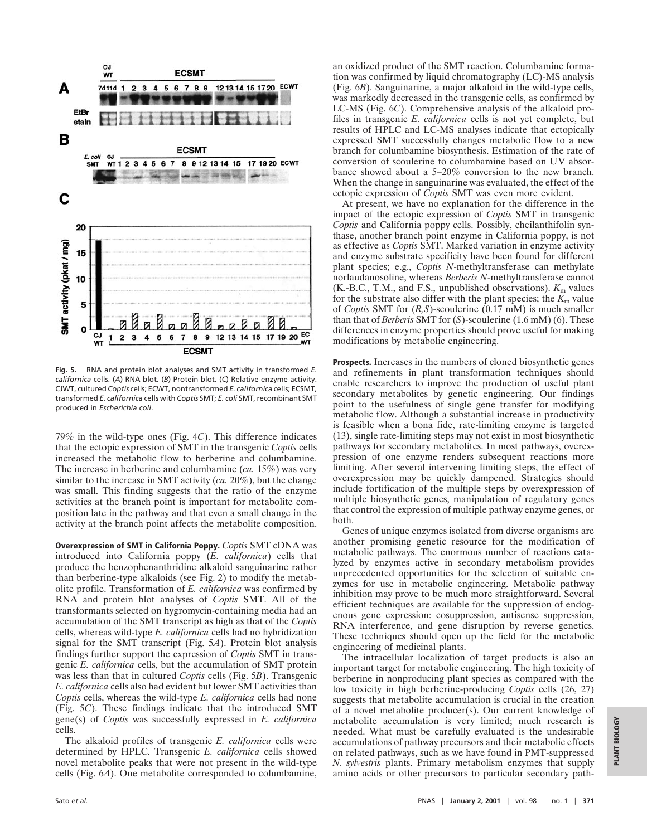

**Fig. 5.** RNA and protein blot analyses and SMT activity in transformed *E. californica* cells. (*A*) RNA blot. (*B*) Protein blot. (*C*) Relative enzyme activity. CJWT, cultured *Coptis* cells; ECWT, nontransformed *E. californica* cells; ECSMT, transformed *E. californica* cells with *Coptis* SMT; *E. coli* SMT, recombinant SMT produced in *Escherichia coli*.

79% in the wild-type ones (Fig. 4*C*). This difference indicates that the ectopic expression of SMT in the transgenic *Coptis* cells increased the metabolic flow to berberine and columbamine. The increase in berberine and columbamine (*ca.* 15%) was very similar to the increase in SMT activity (*ca.* 20%), but the change was small. This finding suggests that the ratio of the enzyme activities at the branch point is important for metabolite composition late in the pathway and that even a small change in the activity at the branch point affects the metabolite composition.

**Overexpression of SMT in California Poppy.** *Coptis* SMT cDNA was introduced into California poppy (*E. californica*) cells that produce the benzophenanthridine alkaloid sanguinarine rather than berberine-type alkaloids (see Fig. 2) to modify the metabolite profile. Transformation of *E. californica* was confirmed by RNA and protein blot analyses of *Coptis* SMT. All of the transformants selected on hygromycin-containing media had an accumulation of the SMT transcript as high as that of the *Coptis* cells, whereas wild-type *E. californica* cells had no hybridization signal for the SMT transcript (Fig. 5*A*). Protein blot analysis findings further support the expression of *Coptis* SMT in transgenic *E. californica* cells, but the accumulation of SMT protein was less than that in cultured *Coptis* cells (Fig. 5*B*). Transgenic *E. californica* cells also had evident but lower SMT activities than *Coptis* cells, whereas the wild-type *E. californica* cells had none (Fig. 5*C*). These findings indicate that the introduced SMT gene(s) of *Coptis* was successfully expressed in *E. californica* cells.

The alkaloid profiles of transgenic *E. californica* cells were determined by HPLC. Transgenic *E. californica* cells showed novel metabolite peaks that were not present in the wild-type cells (Fig. 6*A*). One metabolite corresponded to columbamine,

an oxidized product of the SMT reaction. Columbamine formation was confirmed by liquid chromatography (LC)-MS analysis (Fig. 6*B*). Sanguinarine, a major alkaloid in the wild-type cells, was markedly decreased in the transgenic cells, as confirmed by LC-MS (Fig. 6*C*). Comprehensive analysis of the alkaloid profiles in transgenic *E. californica* cells is not yet complete, but results of HPLC and LC-MS analyses indicate that ectopically expressed SMT successfully changes metabolic flow to a new branch for columbamine biosynthesis. Estimation of the rate of conversion of scoulerine to columbamine based on UV absorbance showed about a 5–20% conversion to the new branch. When the change in sanguinarine was evaluated, the effect of the ectopic expression of *Coptis* SMT was even more evident.

At present, we have no explanation for the difference in the impact of the ectopic expression of *Coptis* SMT in transgenic *Coptis* and California poppy cells. Possibly, cheilanthifolin synthase, another branch point enzyme in California poppy, is not as effective as *Coptis* SMT. Marked variation in enzyme activity and enzyme substrate specificity have been found for different plant species; e.g., *Coptis N*-methyltransferase can methylate norlaudanosoline, whereas *Berberis N*-methyltransferase cannot  $(K.-B.C., T.M., and F.S., unpublished observations).$   $K<sub>m</sub>$  values for the substrate also differ with the plant species; the  $K<sub>m</sub>$  value of *Coptis* SMT for (*R,S*)-scoulerine (0.17 mM) is much smaller than that of *Berberis* SMT for (*S*)-scoulerine (1.6 mM) (6). These differences in enzyme properties should prove useful for making modifications by metabolic engineering.

**Prospects.** Increases in the numbers of cloned biosynthetic genes and refinements in plant transformation techniques should enable researchers to improve the production of useful plant secondary metabolites by genetic engineering. Our findings point to the usefulness of single gene transfer for modifying metabolic flow. Although a substantial increase in productivity is feasible when a bona fide, rate-limiting enzyme is targeted (13), single rate-limiting steps may not exist in most biosynthetic pathways for secondary metabolites. In most pathways, overexpression of one enzyme renders subsequent reactions more limiting. After several intervening limiting steps, the effect of overexpression may be quickly dampened. Strategies should include fortification of the multiple steps by overexpression of multiple biosynthetic genes, manipulation of regulatory genes that control the expression of multiple pathway enzyme genes, or both.

Genes of unique enzymes isolated from diverse organisms are another promising genetic resource for the modification of metabolic pathways. The enormous number of reactions catalyzed by enzymes active in secondary metabolism provides unprecedented opportunities for the selection of suitable enzymes for use in metabolic engineering. Metabolic pathway inhibition may prove to be much more straightforward. Several efficient techniques are available for the suppression of endogenous gene expression: cosuppression, antisense suppression, RNA interference, and gene disruption by reverse genetics. These techniques should open up the field for the metabolic engineering of medicinal plants.

The intracellular localization of target products is also an important target for metabolic engineering. The high toxicity of berberine in nonproducing plant species as compared with the low toxicity in high berberine-producing *Coptis* cells (26, 27) suggests that metabolite accumulation is crucial in the creation of a novel metabolite producer(s). Our current knowledge of metabolite accumulation is very limited; much research is needed. What must be carefully evaluated is the undesirable accumulations of pathway precursors and their metabolic effects on related pathways, such as we have found in PMT-suppressed *N. sylvestris* plants. Primary metabolism enzymes that supply amino acids or other precursors to particular secondary path-